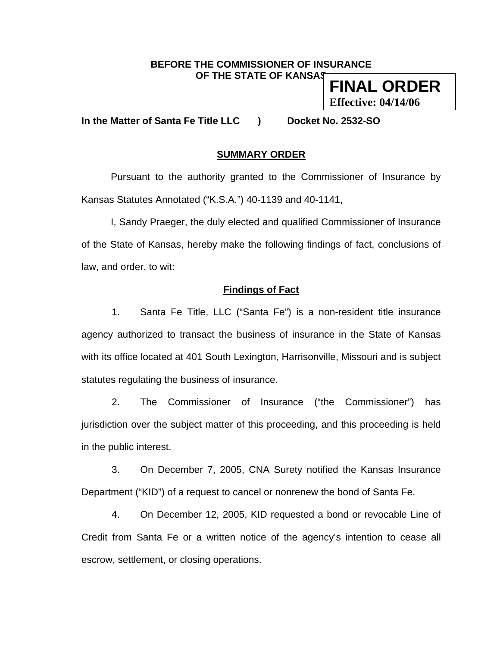### **BEFORE THE COMMISSIONER OF INSURANCE OF THE STATE OF KANSAS**

**FINAL ORDER Effective: 04/14/06**

**In the Matter of Santa Fe Title LLC ) Docket No. 2532-SO** 

# **SUMMARY ORDER**

 Pursuant to the authority granted to the Commissioner of Insurance by Kansas Statutes Annotated ("K.S.A.") 40-1139 and 40-1141,

 I, Sandy Praeger, the duly elected and qualified Commissioner of Insurance of the State of Kansas, hereby make the following findings of fact, conclusions of law, and order, to wit:

## **Findings of Fact**

1. Santa Fe Title, LLC ("Santa Fe") is a non-resident title insurance agency authorized to transact the business of insurance in the State of Kansas with its office located at 401 South Lexington, Harrisonville, Missouri and is subject statutes regulating the business of insurance.

2. The Commissioner of Insurance ("the Commissioner") has jurisdiction over the subject matter of this proceeding, and this proceeding is held in the public interest.

3. On December 7, 2005, CNA Surety notified the Kansas Insurance Department ("KID") of a request to cancel or nonrenew the bond of Santa Fe.

4. On December 12, 2005, KID requested a bond or revocable Line of Credit from Santa Fe or a written notice of the agency's intention to cease all escrow, settlement, or closing operations.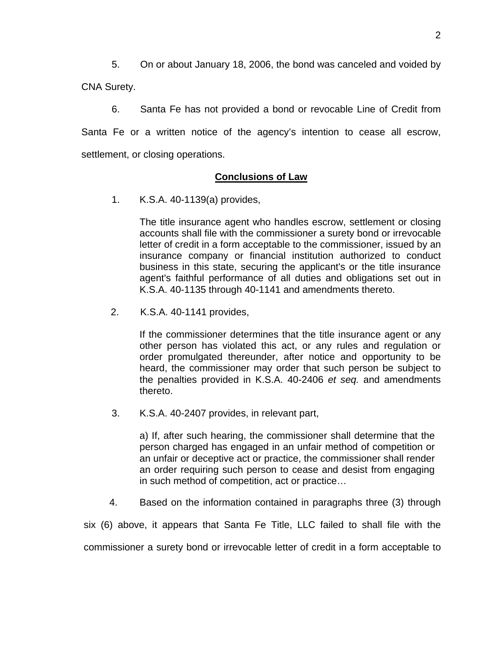5. On or about January 18, 2006, the bond was canceled and voided by CNA Surety.

6. Santa Fe has not provided a bond or revocable Line of Credit from Santa Fe or a written notice of the agency's intention to cease all escrow, settlement, or closing operations.

## **Conclusions of Law**

1. K.S.A. 40-1139(a) provides,

The title insurance agent who handles escrow, settlement or closing accounts shall file with the commissioner a surety bond or irrevocable letter of credit in a form acceptable to the commissioner, issued by an insurance company or financial institution authorized to conduct business in this state, securing the applicant's or the title insurance agent's faithful performance of all duties and obligations set out in K.S.A. 40-1135 through 40-1141 and amendments thereto.

2. K.S.A. 40-1141 provides,

If the commissioner determines that the title insurance agent or any other person has violated this act, or any rules and regulation or order promulgated thereunder, after notice and opportunity to be heard, the commissioner may order that such person be subject to the penalties provided in K.S.A. 40-2406 *et seq.* and amendments thereto.

3. K.S.A. 40-2407 provides, in relevant part,

a) If, after such hearing, the commissioner shall determine that the person charged has engaged in an unfair method of competition or an unfair or deceptive act or practice, the commissioner shall render an order requiring such person to cease and desist from engaging in such method of competition, act or practice…

4. Based on the information contained in paragraphs three (3) through

six (6) above, it appears that Santa Fe Title, LLC failed to shall file with the commissioner a surety bond or irrevocable letter of credit in a form acceptable to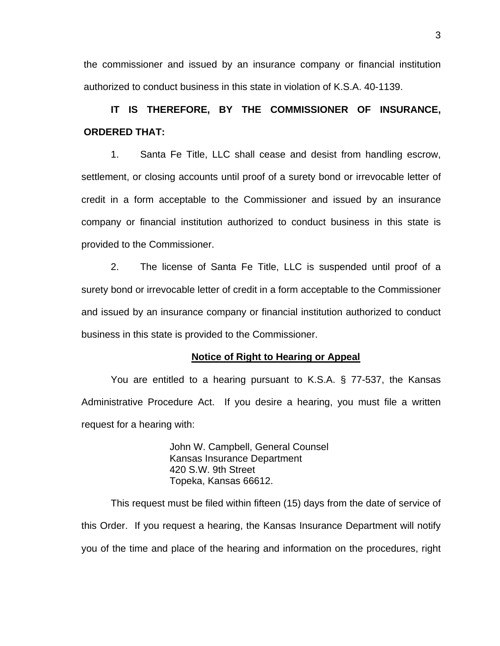the commissioner and issued by an insurance company or financial institution authorized to conduct business in this state in violation of K.S.A. 40-1139.

# **IT IS THEREFORE, BY THE COMMISSIONER OF INSURANCE, ORDERED THAT:**

 1. Santa Fe Title, LLC shall cease and desist from handling escrow, settlement, or closing accounts until proof of a surety bond or irrevocable letter of credit in a form acceptable to the Commissioner and issued by an insurance company or financial institution authorized to conduct business in this state is provided to the Commissioner.

2. The license of Santa Fe Title, LLC is suspended until proof of a surety bond or irrevocable letter of credit in a form acceptable to the Commissioner and issued by an insurance company or financial institution authorized to conduct business in this state is provided to the Commissioner.

#### **Notice of Right to Hearing or Appeal**

You are entitled to a hearing pursuant to K.S.A. § 77-537, the Kansas Administrative Procedure Act. If you desire a hearing, you must file a written request for a hearing with:

> John W. Campbell, General Counsel Kansas Insurance Department 420 S.W. 9th Street Topeka, Kansas 66612.

This request must be filed within fifteen (15) days from the date of service of this Order. If you request a hearing, the Kansas Insurance Department will notify you of the time and place of the hearing and information on the procedures, right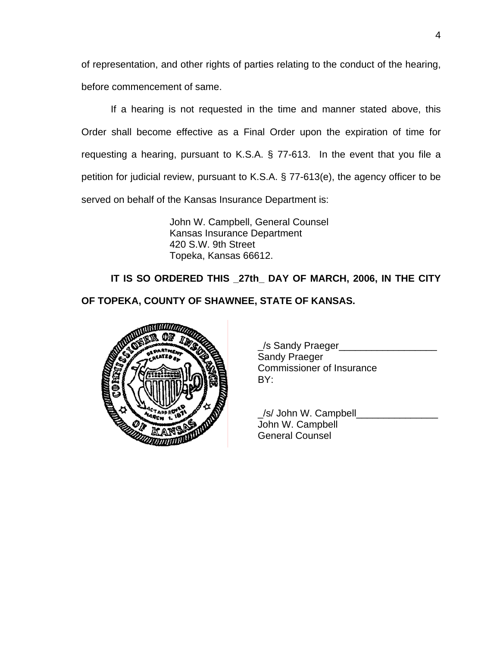of representation, and other rights of parties relating to the conduct of the hearing, before commencement of same.

If a hearing is not requested in the time and manner stated above, this Order shall become effective as a Final Order upon the expiration of time for requesting a hearing, pursuant to K.S.A. § 77-613. In the event that you file a petition for judicial review, pursuant to K.S.A. § 77-613(e), the agency officer to be served on behalf of the Kansas Insurance Department is:

> John W. Campbell, General Counsel Kansas Insurance Department 420 S.W. 9th Street Topeka, Kansas 66612.

**IT IS SO ORDERED THIS \_27th\_ DAY OF MARCH, 2006, IN THE CITY** 

**OF TOPEKA, COUNTY OF SHAWNEE, STATE OF KANSAS.** 



| <b>ULLIUM OFFICIAL</b> | /s Sandy Praeger          |
|------------------------|---------------------------|
|                        | <b>Sandy Praeger</b>      |
| $\sim$                 | Commissioner of Insurance |
| <b>SANTAIN</b>         | RΥ۰                       |

/s/ John W. Campbell John W. Campbell General Counsel